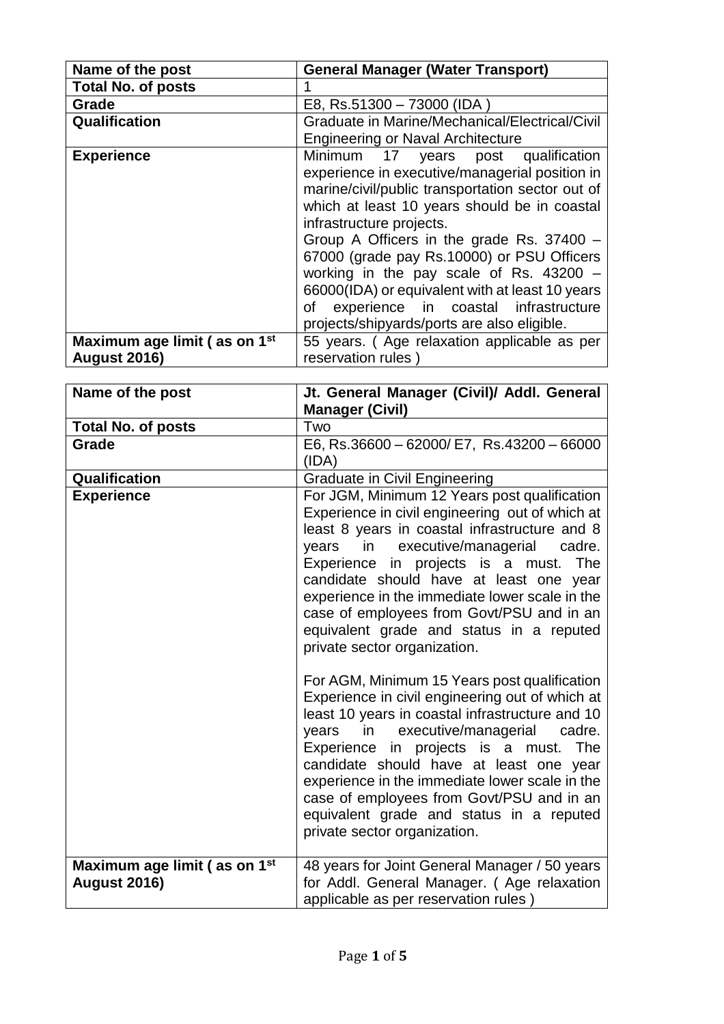| Name of the post                         | <b>General Manager (Water Transport)</b>                                                                                                                                                                                                                                                                                                                                                                         |
|------------------------------------------|------------------------------------------------------------------------------------------------------------------------------------------------------------------------------------------------------------------------------------------------------------------------------------------------------------------------------------------------------------------------------------------------------------------|
| <b>Total No. of posts</b>                |                                                                                                                                                                                                                                                                                                                                                                                                                  |
| Grade                                    | E8, Rs.51300 - 73000 (IDA                                                                                                                                                                                                                                                                                                                                                                                        |
| Qualification                            | Graduate in Marine/Mechanical/Electrical/Civil                                                                                                                                                                                                                                                                                                                                                                   |
|                                          | <b>Engineering or Naval Architecture</b>                                                                                                                                                                                                                                                                                                                                                                         |
| <b>Experience</b>                        | Minimum 17 years post qualification<br>experience in executive/managerial position in<br>marine/civil/public transportation sector out of<br>which at least 10 years should be in coastal<br>infrastructure projects.<br>Group A Officers in the grade Rs. 37400 -<br>67000 (grade pay Rs.10000) or PSU Officers<br>working in the pay scale of Rs. $43200 -$<br>66000(IDA) or equivalent with at least 10 years |
|                                          | experience in coastal infrastructure<br>of                                                                                                                                                                                                                                                                                                                                                                       |
|                                          | projects/shipyards/ports are also eligible.                                                                                                                                                                                                                                                                                                                                                                      |
| Maximum age limit (as on 1 <sup>st</sup> | 55 years. (Age relaxation applicable as per                                                                                                                                                                                                                                                                                                                                                                      |
| <b>August 2016)</b>                      | reservation rules)                                                                                                                                                                                                                                                                                                                                                                                               |

| Name of the post                                                | Jt. General Manager (Civil)/ Addl. General<br><b>Manager (Civil)</b>                                                                                                                                                                                                                                                                                                                                                                                                      |
|-----------------------------------------------------------------|---------------------------------------------------------------------------------------------------------------------------------------------------------------------------------------------------------------------------------------------------------------------------------------------------------------------------------------------------------------------------------------------------------------------------------------------------------------------------|
| <b>Total No. of posts</b>                                       | Two                                                                                                                                                                                                                                                                                                                                                                                                                                                                       |
| Grade                                                           | E6, Rs.36600 - 62000/ E7, Rs.43200 - 66000<br>(IDA)                                                                                                                                                                                                                                                                                                                                                                                                                       |
| Qualification                                                   | <b>Graduate in Civil Engineering</b>                                                                                                                                                                                                                                                                                                                                                                                                                                      |
| <b>Experience</b>                                               | For JGM, Minimum 12 Years post qualification<br>Experience in civil engineering out of which at<br>least 8 years in coastal infrastructure and 8<br>in executive/managerial<br>years<br>cadre.<br>Experience in projects is a must.<br>The<br>candidate should have at least one year<br>experience in the immediate lower scale in the<br>case of employees from Govt/PSU and in an<br>equivalent grade and status in a reputed<br>private sector organization.          |
|                                                                 | For AGM, Minimum 15 Years post qualification<br>Experience in civil engineering out of which at<br>least 10 years in coastal infrastructure and 10<br>in executive/managerial<br>years<br>cadre.<br>Experience in projects is a must.<br><b>The</b><br>candidate should have at least one year<br>experience in the immediate lower scale in the<br>case of employees from Govt/PSU and in an<br>equivalent grade and status in a reputed<br>private sector organization. |
| Maximum age limit (as on 1 <sup>st</sup><br><b>August 2016)</b> | 48 years for Joint General Manager / 50 years<br>for Addl. General Manager. (Age relaxation<br>applicable as per reservation rules)                                                                                                                                                                                                                                                                                                                                       |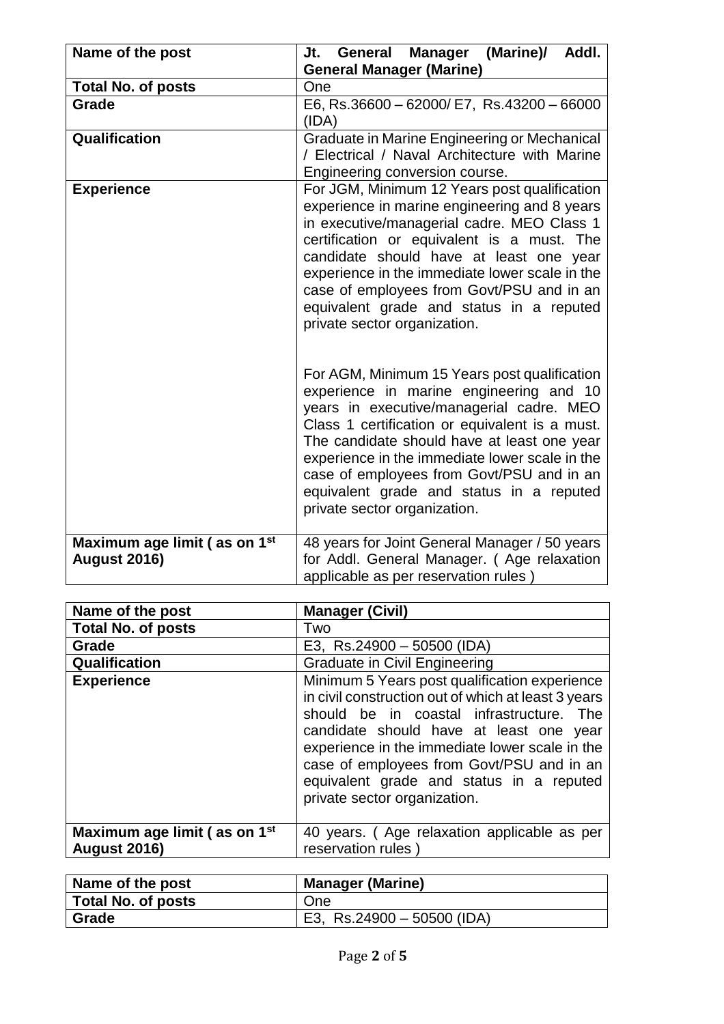| Name of the post                                                | (Marine)/<br>Addl.<br>General<br><b>Manager</b><br>Jt.<br><b>General Manager (Marine)</b>                                                                                                                                                                                                                                                                                                                       |
|-----------------------------------------------------------------|-----------------------------------------------------------------------------------------------------------------------------------------------------------------------------------------------------------------------------------------------------------------------------------------------------------------------------------------------------------------------------------------------------------------|
| <b>Total No. of posts</b>                                       | One                                                                                                                                                                                                                                                                                                                                                                                                             |
| Grade                                                           | E6, Rs.36600 - 62000/ E7, Rs.43200 - 66000<br>(IDA)                                                                                                                                                                                                                                                                                                                                                             |
| Qualification                                                   | Graduate in Marine Engineering or Mechanical<br>/ Electrical / Naval Architecture with Marine<br>Engineering conversion course.                                                                                                                                                                                                                                                                                 |
| <b>Experience</b>                                               | For JGM, Minimum 12 Years post qualification<br>experience in marine engineering and 8 years<br>in executive/managerial cadre. MEO Class 1<br>certification or equivalent is a must. The<br>candidate should have at least one year<br>experience in the immediate lower scale in the<br>case of employees from Govt/PSU and in an<br>equivalent grade and status in a reputed<br>private sector organization.  |
|                                                                 | For AGM, Minimum 15 Years post qualification<br>experience in marine engineering and 10<br>years in executive/managerial cadre. MEO<br>Class 1 certification or equivalent is a must.<br>The candidate should have at least one year<br>experience in the immediate lower scale in the<br>case of employees from Govt/PSU and in an<br>equivalent grade and status in a reputed<br>private sector organization. |
| Maximum age limit (as on 1 <sup>st</sup><br><b>August 2016)</b> | 48 years for Joint General Manager / 50 years<br>for Addl. General Manager. (Age relaxation<br>applicable as per reservation rules)                                                                                                                                                                                                                                                                             |

| Name of the post                                                | <b>Manager (Civil)</b>                                                                                                                                                                                                                                                                                                                                                 |
|-----------------------------------------------------------------|------------------------------------------------------------------------------------------------------------------------------------------------------------------------------------------------------------------------------------------------------------------------------------------------------------------------------------------------------------------------|
| <b>Total No. of posts</b>                                       | Two                                                                                                                                                                                                                                                                                                                                                                    |
| Grade                                                           | E3, Rs.24900 - 50500 (IDA)                                                                                                                                                                                                                                                                                                                                             |
| Qualification                                                   | <b>Graduate in Civil Engineering</b>                                                                                                                                                                                                                                                                                                                                   |
| <b>Experience</b>                                               | Minimum 5 Years post qualification experience<br>in civil construction out of which at least 3 years<br>should be in coastal infrastructure. The<br>candidate should have at least one year<br>experience in the immediate lower scale in the<br>case of employees from Govt/PSU and in an<br>equivalent grade and status in a reputed<br>private sector organization. |
| Maximum age limit (as on 1 <sup>st</sup><br><b>August 2016)</b> | 40 years. (Age relaxation applicable as per<br>reservation rules                                                                                                                                                                                                                                                                                                       |

| Name of the post   | <b>Manager (Marine)</b>    |
|--------------------|----------------------------|
| Total No. of posts | One                        |
| Grade              | E3, Rs.24900 – 50500 (IDA) |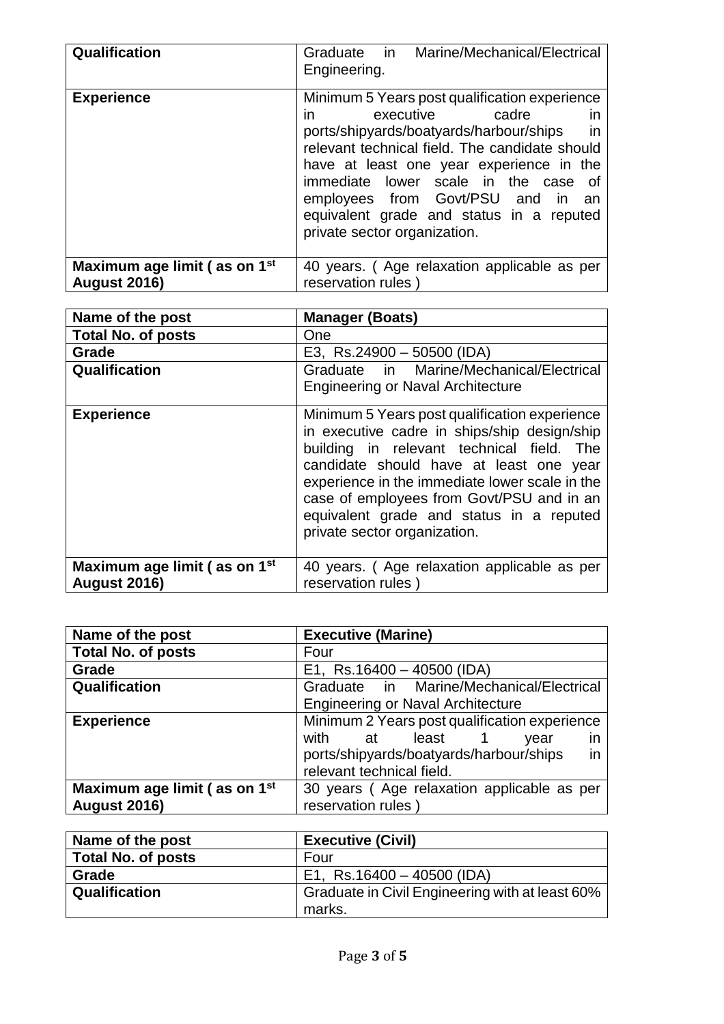| Qualification                                                   | Graduate in Marine/Mechanical/Electrical<br>Engineering.                                                                                                                                                                                                                                                                                                                                        |
|-----------------------------------------------------------------|-------------------------------------------------------------------------------------------------------------------------------------------------------------------------------------------------------------------------------------------------------------------------------------------------------------------------------------------------------------------------------------------------|
| <b>Experience</b>                                               | Minimum 5 Years post qualification experience<br>executive<br>cadre<br>in.<br><b>in</b><br>ports/shipyards/boatyards/harbour/ships<br>in<br>relevant technical field. The candidate should<br>have at least one year experience in the<br>immediate lower scale in the case of<br>employees from Govt/PSU and in an<br>equivalent grade and status in a reputed<br>private sector organization. |
| Maximum age limit (as on 1 <sup>st</sup><br><b>August 2016)</b> | 40 years. (Age relaxation applicable as per<br>reservation rules)                                                                                                                                                                                                                                                                                                                               |

| Name of the post                         | <b>Manager (Boats)</b>                                                                                                                                                                                                                                                                                                                                           |
|------------------------------------------|------------------------------------------------------------------------------------------------------------------------------------------------------------------------------------------------------------------------------------------------------------------------------------------------------------------------------------------------------------------|
| <b>Total No. of posts</b>                | One                                                                                                                                                                                                                                                                                                                                                              |
| Grade                                    | E3, Rs.24900 - 50500 (IDA)                                                                                                                                                                                                                                                                                                                                       |
| Qualification                            | Graduate in Marine/Mechanical/Electrical<br><b>Engineering or Naval Architecture</b>                                                                                                                                                                                                                                                                             |
| <b>Experience</b>                        | Minimum 5 Years post qualification experience<br>in executive cadre in ships/ship design/ship<br>building in relevant technical field. The<br>candidate should have at least one year<br>experience in the immediate lower scale in the<br>case of employees from Govt/PSU and in an<br>equivalent grade and status in a reputed<br>private sector organization. |
| Maximum age limit (as on 1 <sup>st</sup> | 40 years. (Age relaxation applicable as per                                                                                                                                                                                                                                                                                                                      |
| <b>August 2016)</b>                      | reservation rules)                                                                                                                                                                                                                                                                                                                                               |

| Name of the post             | <b>Executive (Marine)</b>                     |
|------------------------------|-----------------------------------------------|
| <b>Total No. of posts</b>    | Four                                          |
| Grade                        | E1, Rs.16400 - 40500 (IDA)                    |
| Qualification                | Graduate in Marine/Mechanical/Electrical      |
|                              | <b>Engineering or Naval Architecture</b>      |
| <b>Experience</b>            | Minimum 2 Years post qualification experience |
|                              | with at<br>least<br>in<br>year                |
|                              | in<br>ports/shipyards/boatyards/harbour/ships |
|                              | relevant technical field.                     |
| Maximum age limit (as on 1st | 30 years (Age relaxation applicable as per    |
| <b>August 2016)</b>          | reservation rules                             |

| Name of the post          | <b>Executive (Civil)</b>                        |
|---------------------------|-------------------------------------------------|
| <b>Total No. of posts</b> | Four                                            |
| Grade                     | E1, Rs.16400 - 40500 (IDA)                      |
| Qualification             | Graduate in Civil Engineering with at least 60% |
|                           | marks.                                          |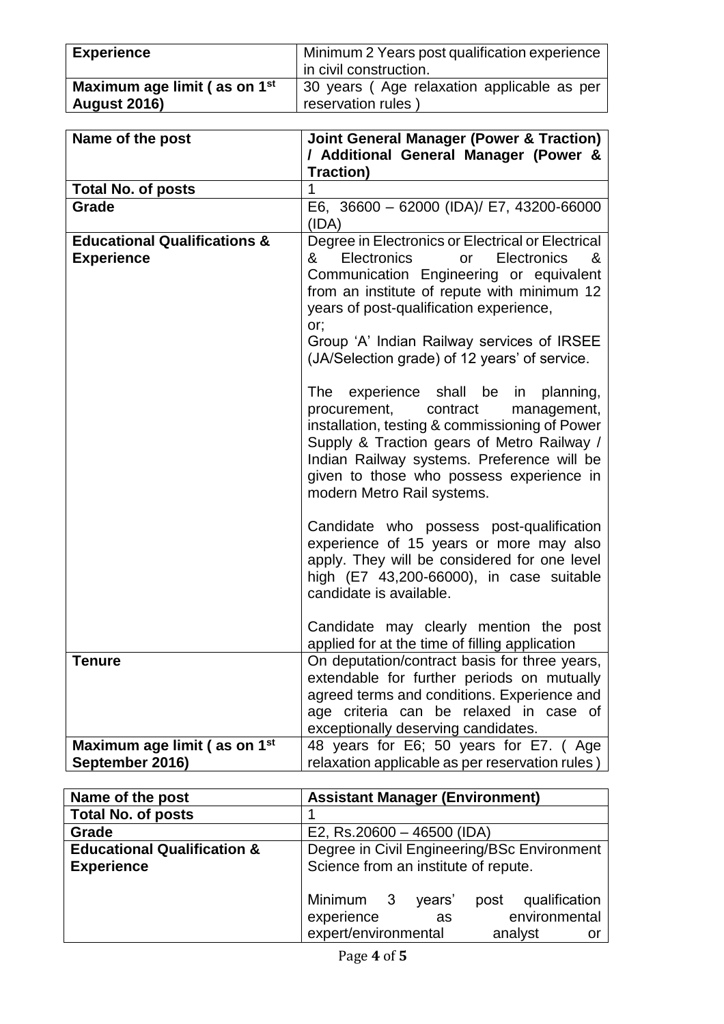| <b>Experience</b>                        | Minimum 2 Years post qualification experience |
|------------------------------------------|-----------------------------------------------|
|                                          | in civil construction.                        |
| Maximum age limit (as on 1 <sup>st</sup> | 30 years (Age relaxation applicable as per    |
| <b>August 2016)</b>                      | reservation rules                             |

| Name of the post                                             | <b>Joint General Manager (Power &amp; Traction)</b><br>/ Additional General Manager (Power &<br><b>Traction)</b>                                                                                                                                                                                                                                                                                                                                                                                                                                                                                                                                                                                                                                                                                                                                                                                                                                                    |
|--------------------------------------------------------------|---------------------------------------------------------------------------------------------------------------------------------------------------------------------------------------------------------------------------------------------------------------------------------------------------------------------------------------------------------------------------------------------------------------------------------------------------------------------------------------------------------------------------------------------------------------------------------------------------------------------------------------------------------------------------------------------------------------------------------------------------------------------------------------------------------------------------------------------------------------------------------------------------------------------------------------------------------------------|
| <b>Total No. of posts</b>                                    | 1                                                                                                                                                                                                                                                                                                                                                                                                                                                                                                                                                                                                                                                                                                                                                                                                                                                                                                                                                                   |
| Grade                                                        | E6, 36600 - 62000 (IDA)/ E7, 43200-66000<br>(IDA)                                                                                                                                                                                                                                                                                                                                                                                                                                                                                                                                                                                                                                                                                                                                                                                                                                                                                                                   |
| <b>Educational Qualifications &amp;</b><br><b>Experience</b> | Degree in Electronics or Electrical or Electrical<br>Electronics<br>Electronics<br>&<br><b>or</b><br>&<br>Communication Engineering or equivalent<br>from an institute of repute with minimum 12<br>years of post-qualification experience,<br>or;<br>Group 'A' Indian Railway services of IRSEE<br>(JA/Selection grade) of 12 years' of service.<br>The experience shall be in planning,<br>procurement, contract<br>management,<br>installation, testing & commissioning of Power<br>Supply & Traction gears of Metro Railway /<br>Indian Railway systems. Preference will be<br>given to those who possess experience in<br>modern Metro Rail systems.<br>Candidate who possess post-qualification<br>experience of 15 years or more may also<br>apply. They will be considered for one level<br>high (E7 43,200-66000), in case suitable<br>candidate is available.<br>Candidate may clearly mention the post<br>applied for at the time of filling application |
| <b>Tenure</b>                                                | On deputation/contract basis for three years,                                                                                                                                                                                                                                                                                                                                                                                                                                                                                                                                                                                                                                                                                                                                                                                                                                                                                                                       |
|                                                              | extendable for further periods on mutually                                                                                                                                                                                                                                                                                                                                                                                                                                                                                                                                                                                                                                                                                                                                                                                                                                                                                                                          |
|                                                              | agreed terms and conditions. Experience and                                                                                                                                                                                                                                                                                                                                                                                                                                                                                                                                                                                                                                                                                                                                                                                                                                                                                                                         |
|                                                              | age criteria can be relaxed in case of<br>exceptionally deserving candidates.                                                                                                                                                                                                                                                                                                                                                                                                                                                                                                                                                                                                                                                                                                                                                                                                                                                                                       |
|                                                              |                                                                                                                                                                                                                                                                                                                                                                                                                                                                                                                                                                                                                                                                                                                                                                                                                                                                                                                                                                     |
| Maximum age limit (as on 1 <sup>st</sup>                     | 48 years for E6; 50 years for E7. (Age                                                                                                                                                                                                                                                                                                                                                                                                                                                                                                                                                                                                                                                                                                                                                                                                                                                                                                                              |
| September 2016)                                              | relaxation applicable as per reservation rules)                                                                                                                                                                                                                                                                                                                                                                                                                                                                                                                                                                                                                                                                                                                                                                                                                                                                                                                     |

| Name of the post                                            | <b>Assistant Manager (Environment)</b>                                                                               |
|-------------------------------------------------------------|----------------------------------------------------------------------------------------------------------------------|
| <b>Total No. of posts</b>                                   |                                                                                                                      |
| Grade                                                       | E2, Rs.20600 - 46500 (IDA)                                                                                           |
| <b>Educational Qualification &amp;</b><br><b>Experience</b> | Degree in Civil Engineering/BSc Environment<br>Science from an institute of repute.                                  |
|                                                             | Minimum 3<br>qualification<br>years'<br>post<br>environmental<br>experience<br>as<br>expert/environmental<br>analyst |